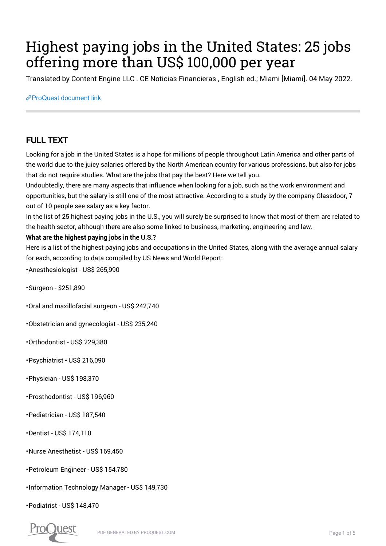# Highest paying jobs in the United States: 25 jobs offering more than US\$ 100,000 per year

Translated by Content Engine LLC . CE Noticias Financieras , English ed.; Miami [Miami]. 04 May 2022.

[ProQuest document link](https://www.proquest.com/wire-feeds/highest-paying-jobs-united-states-25-offering/docview/2659980438/se-2?accountid=44910)

## FULL TEXT

Looking for a job in the United States is a hope for millions of people throughout Latin America and other parts of the world due to the juicy salaries offered by the North American country for various professions, but also for jobs that do not require studies. What are the jobs that pay the best? Here we tell you.

Undoubtedly, there are many aspects that influence when looking for a job, such as the work environment and opportunities, but the salary is still one of the most attractive. According to a study by the company Glassdoor, 7 out of 10 people see salary as a key factor.

In the list of 25 highest paying jobs in the U.S., you will surely be surprised to know that most of them are related to the health sector, although there are also some linked to business, marketing, engineering and law.

#### What are the highest paying jobs in the U.S.?

Here is a list of the highest paying jobs and occupations in the United States, along with the average annual salary for each, according to data compiled by US News and World Report:

• Anesthesiologist - US\$ 265,990

• Surgeon - \$251,890

• Oral and maxillofacial surgeon - US\$ 242,740

• Obstetrician and gynecologist - US\$ 235,240

• Orthodontist - US\$ 229,380

• Psychiatrist - US\$ 216,090

- Physician US\$ 198,370
- Prosthodontist US\$ 196,960
- Pediatrician US\$ 187,540
- Dentist US\$ 174,110
- Nurse Anesthetist US\$ 169,450
- Petroleum Engineer US\$ 154,780
- Information Technology Manager US\$ 149,730

• Podiatrist - US\$ 148,470

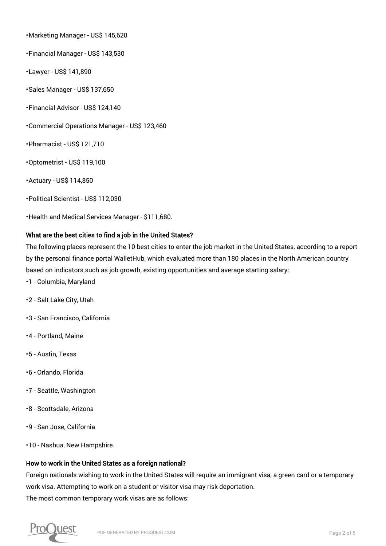• Marketing Manager - US\$ 145,620

• Financial Manager - US\$ 143,530

- Lawyer US\$ 141,890
- Sales Manager US\$ 137,650
- Financial Advisor US\$ 124,140
- Commercial Operations Manager US\$ 123,460
- Pharmacist US\$ 121,710
- Optometrist US\$ 119,100
- Actuary US\$ 114,850
- Political Scientist US\$ 112,030

• Health and Medical Services Manager - \$111,680.

#### What are the best cities to find a job in the United States?

The following places represent the 10 best cities to enter the job market in the United States, according to a report by the personal finance portal WalletHub, which evaluated more than 180 places in the North American country based on indicators such as job growth, existing opportunities and average starting salary:

- 1 Columbia, Maryland
- 2 Salt Lake City, Utah
- 3 San Francisco, California
- 4 Portland, Maine
- 5 Austin, Texas
- 6 Orlando, Florida
- 7 Seattle, Washington
- 8 Scottsdale, Arizona
- 9 San Jose, California
- 10 Nashua, New Hampshire.

#### How to work in the United States as a foreign national?

Foreign nationals wishing to work in the United States will require an immigrant visa, a green card or a temporary work visa. Attempting to work on a student or visitor visa may risk deportation. The most common temporary work visas are as follows:

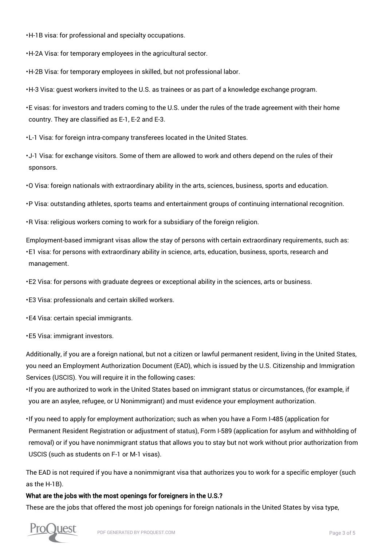• H-1B visa: for professional and specialty occupations.

• H-2A Visa: for temporary employees in the agricultural sector.

• H-2B Visa: for temporary employees in skilled, but not professional labor.

• H-3 Visa: guest workers invited to the U.S. as trainees or as part of a knowledge exchange program.

• E visas: for investors and traders coming to the U.S. under the rules of the trade agreement with their home country. They are classified as E-1, E-2 and E-3.

• L-1 Visa: for foreign intra-company transferees located in the United States.

• J-1 Visa: for exchange visitors. Some of them are allowed to work and others depend on the rules of their sponsors.

• O Visa: foreign nationals with extraordinary ability in the arts, sciences, business, sports and education.

• P Visa: outstanding athletes, sports teams and entertainment groups of continuing international recognition.

• R Visa: religious workers coming to work for a subsidiary of the foreign religion.

• E1 visa: for persons with extraordinary ability in science, arts, education, business, sports, research and Employment-based immigrant visas allow the stay of persons with certain extraordinary requirements, such as: management.

• E2 Visa: for persons with graduate degrees or exceptional ability in the sciences, arts or business.

• E3 Visa: professionals and certain skilled workers.

• E4 Visa: certain special immigrants.

• E5 Visa: immigrant investors.

Additionally, if you are a foreign national, but not a citizen or lawful permanent resident, living in the United States, you need an Employment Authorization Document (EAD), which is issued by the U.S. Citizenship and Immigration Services (USCIS). You will require it in the following cases:

• If you are authorized to work in the United States based on immigrant status or circumstances, (for example, if you are an asylee, refugee, or U Nonimmigrant) and must evidence your employment authorization.

• If you need to apply for employment authorization; such as when you have a Form I-485 (application for Permanent Resident Registration or adjustment of status), Form I-589 (application for asylum and withholding of removal) or if you have nonimmigrant status that allows you to stay but not work without prior authorization from USCIS (such as students on F-1 or M-1 visas).

The EAD is not required if you have a nonimmigrant visa that authorizes you to work for a specific employer (such as the H-1B).

#### What are the jobs with the most openings for foreigners in the U.S.?

These are the jobs that offered the most job openings for foreign nationals in the United States by visa type,

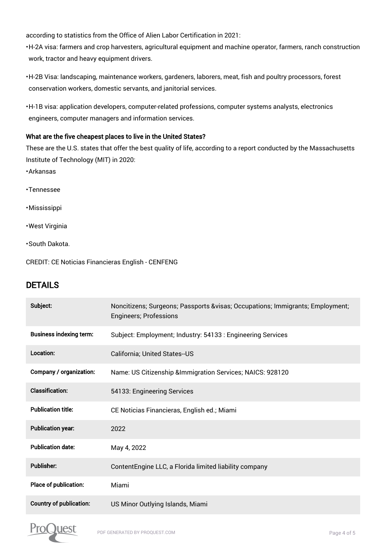according to statistics from the Office of Alien Labor Certification in 2021:

• H-2A visa: farmers and crop harvesters, agricultural equipment and machine operator, farmers, ranch construction work, tractor and heavy equipment drivers.

- H-2B Visa: landscaping, maintenance workers, gardeners, laborers, meat, fish and poultry processors, forest conservation workers, domestic servants, and janitorial services.
- H-1B visa: application developers, computer-related professions, computer systems analysts, electronics engineers, computer managers and information services.

#### What are the five cheapest places to live in the United States?

These are the U.S. states that offer the best quality of life, according to a report conducted by the Massachusetts Institute of Technology (MIT) in 2020:

- Arkansas
- Tennessee
- Mississippi
- West Virginia
- South Dakota.

CREDIT: CE Noticias Financieras English - CENFENG

### DETAILS

| Subject:                       | Noncitizens; Surgeons; Passports &visas Occupations; Immigrants; Employment;<br><b>Engineers; Professions</b> |
|--------------------------------|---------------------------------------------------------------------------------------------------------------|
| <b>Business indexing term:</b> | Subject: Employment; Industry: 54133 : Engineering Services                                                   |
| Location:                      | California; United States-US                                                                                  |
| Company / organization:        | Name: US Citizenship & Immigration Services; NAICS: 928120                                                    |
| <b>Classification:</b>         | 54133: Engineering Services                                                                                   |
| <b>Publication title:</b>      | CE Noticias Financieras, English ed.; Miami                                                                   |
| <b>Publication year:</b>       | 2022                                                                                                          |
| <b>Publication date:</b>       | May 4, 2022                                                                                                   |
| <b>Publisher:</b>              | ContentEngine LLC, a Florida limited liability company                                                        |
| <b>Place of publication:</b>   | Miami                                                                                                         |
| <b>Country of publication:</b> | US Minor Outlying Islands, Miami                                                                              |